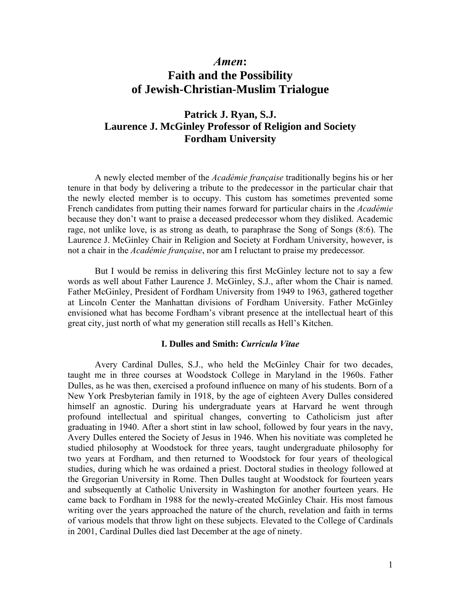# *Amen***: Faith and the Possibility of Jewish-Christian-Muslim Trialogue**

## **Patrick J. Ryan, S.J. Laurence J. McGinley Professor of Religion and Society Fordham University**

 A newly elected member of the *Académie française* traditionally begins his or her tenure in that body by delivering a tribute to the predecessor in the particular chair that the newly elected member is to occupy. This custom has sometimes prevented some French candidates from putting their names forward for particular chairs in the *Académie*  because they don't want to praise a deceased predecessor whom they disliked. Academic rage, not unlike love, is as strong as death, to paraphrase the Song of Songs (8:6). The Laurence J. McGinley Chair in Religion and Society at Fordham University, however, is not a chair in the *Académie française*, nor am I reluctant to praise my predecessor*.* 

 But I would be remiss in delivering this first McGinley lecture not to say a few words as well about Father Laurence J. McGinley, S.J., after whom the Chair is named. Father McGinley, President of Fordham University from 1949 to 1963, gathered together at Lincoln Center the Manhattan divisions of Fordham University. Father McGinley envisioned what has become Fordham's vibrant presence at the intellectual heart of this great city, just north of what my generation still recalls as Hell's Kitchen.

## **I. Dulles and Smith:** *Curricula Vitae*

Avery Cardinal Dulles, S.J., who held the McGinley Chair for two decades, taught me in three courses at Woodstock College in Maryland in the 1960s. Father Dulles, as he was then, exercised a profound influence on many of his students. Born of a New York Presbyterian family in 1918, by the age of eighteen Avery Dulles considered himself an agnostic. During his undergraduate years at Harvard he went through profound intellectual and spiritual changes, converting to Catholicism just after graduating in 1940. After a short stint in law school, followed by four years in the navy, Avery Dulles entered the Society of Jesus in 1946. When his novitiate was completed he studied philosophy at Woodstock for three years, taught undergraduate philosophy for two years at Fordham, and then returned to Woodstock for four years of theological studies, during which he was ordained a priest. Doctoral studies in theology followed at the Gregorian University in Rome. Then Dulles taught at Woodstock for fourteen years and subsequently at Catholic University in Washington for another fourteen years. He came back to Fordham in 1988 for the newly-created McGinley Chair. His most famous writing over the years approached the nature of the church, revelation and faith in terms of various models that throw light on these subjects. Elevated to the College of Cardinals in 2001, Cardinal Dulles died last December at the age of ninety.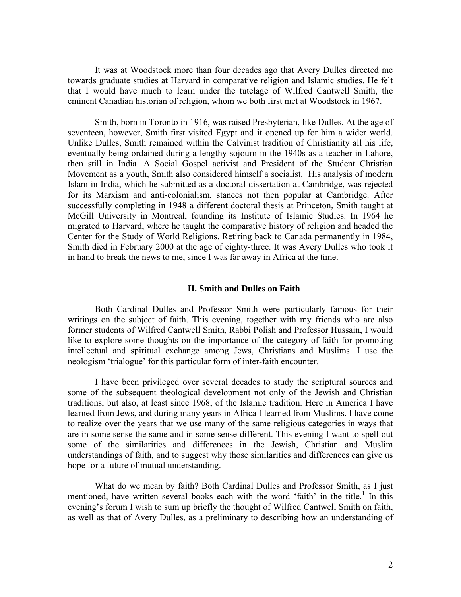It was at Woodstock more than four decades ago that Avery Dulles directed me towards graduate studies at Harvard in comparative religion and Islamic studies. He felt that I would have much to learn under the tutelage of Wilfred Cantwell Smith, the eminent Canadian historian of religion, whom we both first met at Woodstock in 1967.

Smith, born in Toronto in 1916, was raised Presbyterian, like Dulles. At the age of seventeen, however, Smith first visited Egypt and it opened up for him a wider world. Unlike Dulles, Smith remained within the Calvinist tradition of Christianity all his life, eventually being ordained during a lengthy sojourn in the 1940s as a teacher in Lahore, then still in India. A Social Gospel activist and President of the Student Christian Movement as a youth, Smith also considered himself a socialist. His analysis of modern Islam in India, which he submitted as a doctoral dissertation at Cambridge, was rejected for its Marxism and anti-colonialism, stances not then popular at Cambridge. After successfully completing in 1948 a different doctoral thesis at Princeton, Smith taught at McGill University in Montreal, founding its Institute of Islamic Studies. In 1964 he migrated to Harvard, where he taught the comparative history of religion and headed the Center for the Study of World Religions. Retiring back to Canada permanently in 1984, Smith died in February 2000 at the age of eighty-three. It was Avery Dulles who took it in hand to break the news to me, since I was far away in Africa at the time.

#### **II. Smith and Dulles on Faith**

Both Cardinal Dulles and Professor Smith were particularly famous for their writings on the subject of faith. This evening, together with my friends who are also former students of Wilfred Cantwell Smith, Rabbi Polish and Professor Hussain, I would like to explore some thoughts on the importance of the category of faith for promoting intellectual and spiritual exchange among Jews, Christians and Muslims. I use the neologism 'trialogue' for this particular form of inter-faith encounter.

I have been privileged over several decades to study the scriptural sources and some of the subsequent theological development not only of the Jewish and Christian traditions, but also, at least since 1968, of the Islamic tradition. Here in America I have learned from Jews, and during many years in Africa I learned from Muslims. I have come to realize over the years that we use many of the same religious categories in ways that are in some sense the same and in some sense different. This evening I want to spell out some of the similarities and differences in the Jewish, Christian and Muslim understandings of faith, and to suggest why those similarities and differences can give us hope for a future of mutual understanding.

What do we mean by faith? Both Cardinal Dulles and Professor Smith, as I just mentioned, have written several books each with the word 'faith' in the title.<sup>1</sup> In this evening's forum I wish to sum up briefly the thought of Wilfred Cantwell Smith on faith, as well as that of Avery Dulles, as a preliminary to describing how an understanding of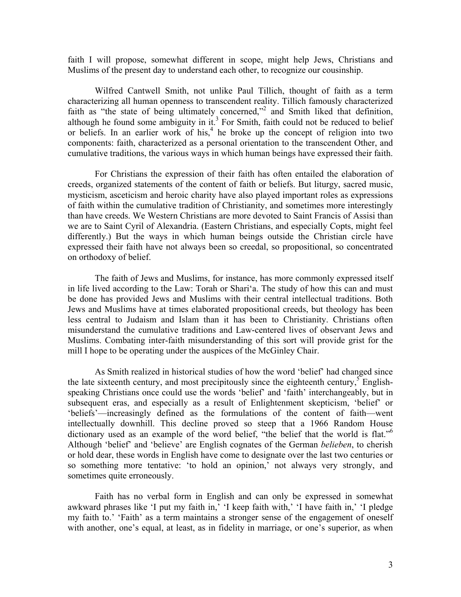faith I will propose, somewhat different in scope, might help Jews, Christians and Muslims of the present day to understand each other, to recognize our cousinship.

Wilfred Cantwell Smith, not unlike Paul Tillich, thought of faith as a term characterizing all human openness to transcendent reality. Tillich famously characterized faith as "the state of being ultimately concerned,"<sup>2</sup> and Smith liked that definition, although he found some ambiguity in it.<sup>3</sup> For Smith, faith could not be reduced to belief or beliefs. In an earlier work of his,<sup>4</sup> he broke up the concept of religion into two components: faith, characterized as a personal orientation to the transcendent Other, and cumulative traditions, the various ways in which human beings have expressed their faith.

For Christians the expression of their faith has often entailed the elaboration of creeds, organized statements of the content of faith or beliefs. But liturgy, sacred music, mysticism, asceticism and heroic charity have also played important roles as expressions of faith within the cumulative tradition of Christianity, and sometimes more interestingly than have creeds. We Western Christians are more devoted to Saint Francis of Assisi than we are to Saint Cyril of Alexandria. (Eastern Christians, and especially Copts, might feel differently.) But the ways in which human beings outside the Christian circle have expressed their faith have not always been so creedal, so propositional, so concentrated on orthodoxy of belief.

The faith of Jews and Muslims, for instance, has more commonly expressed itself in life lived according to the Law: Torah or Shari'a. The study of how this can and must be done has provided Jews and Muslims with their central intellectual traditions. Both Jews and Muslims have at times elaborated propositional creeds, but theology has been less central to Judaism and Islam than it has been to Christianity. Christians often misunderstand the cumulative traditions and Law-centered lives of observant Jews and Muslims. Combating inter-faith misunderstanding of this sort will provide grist for the mill I hope to be operating under the auspices of the McGinley Chair.

As Smith realized in historical studies of how the word 'belief' had changed since the late sixteenth century, and most precipitously since the eighteenth century,  $\sum_{n=1}^{\infty}$  Englishspeaking Christians once could use the words 'belief' and 'faith' interchangeably, but in subsequent eras, and especially as a result of Enlightenment skepticism, 'belief' or 'beliefs'—increasingly defined as the formulations of the content of faith—went intellectually downhill. This decline proved so steep that a 1966 Random House dictionary used as an example of the word belief, "the belief that the world is flat."<sup>6</sup> Although 'belief' and 'believe' are English cognates of the German *belieben*, to cherish or hold dear, these words in English have come to designate over the last two centuries or so something more tentative: 'to hold an opinion,' not always very strongly, and sometimes quite erroneously.

Faith has no verbal form in English and can only be expressed in somewhat awkward phrases like 'I put my faith in,' 'I keep faith with,' 'I have faith in,' 'I pledge my faith to.' 'Faith' as a term maintains a stronger sense of the engagement of oneself with another, one's equal, at least, as in fidelity in marriage, or one's superior, as when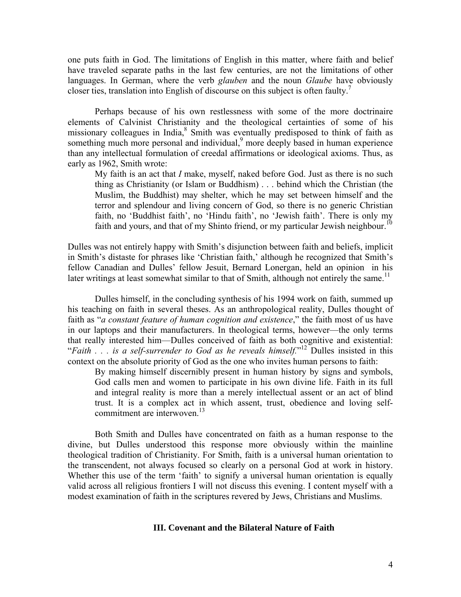one puts faith in God. The limitations of English in this matter, where faith and belief have traveled separate paths in the last few centuries, are not the limitations of other languages. In German, where the verb *glauben* and the noun *Glaube* have obviously closer ties, translation into English of discourse on this subject is often faulty.<sup>7</sup>

Perhaps because of his own restlessness with some of the more doctrinaire elements of Calvinist Christianity and the theological certainties of some of his missionary colleagues in India,<sup>8</sup> Smith was eventually predisposed to think of faith as something much more personal and individual,<sup>9</sup> more deeply based in human experience than any intellectual formulation of creedal affirmations or ideological axioms. Thus, as early as 1962, Smith wrote:

My faith is an act that *I* make, myself, naked before God. Just as there is no such thing as Christianity (or Islam or Buddhism) . . . behind which the Christian (the Muslim, the Buddhist) may shelter, which he may set between himself and the terror and splendour and living concern of God, so there is no generic Christian faith, no 'Buddhist faith', no 'Hindu faith', no 'Jewish faith'. There is only my faith and yours, and that of my Shinto friend, or my particular Jewish neighbour.<sup>10</sup>

Dulles was not entirely happy with Smith's disjunction between faith and beliefs, implicit in Smith's distaste for phrases like 'Christian faith,' although he recognized that Smith's fellow Canadian and Dulles' fellow Jesuit, Bernard Lonergan, held an opinion in his later writings at least somewhat similar to that of Smith, although not entirely the same.<sup>11</sup>

Dulles himself, in the concluding synthesis of his 1994 work on faith, summed up his teaching on faith in several theses. As an anthropological reality, Dulles thought of faith as "*a constant feature of human cognition and existence*," the faith most of us have in our laptops and their manufacturers. In theological terms, however—the only terms that really interested him—Dulles conceived of faith as both cognitive and existential: "*Faith . . . is a self-surrender to God as he reveals himself.*" 12 Dulles insisted in this context on the absolute priority of God as the one who invites human persons to faith:

By making himself discernibly present in human history by signs and symbols, God calls men and women to participate in his own divine life. Faith in its full and integral reality is more than a merely intellectual assent or an act of blind trust. It is a complex act in which assent, trust, obedience and loving selfcommitment are interwoven.<sup>13</sup>

Both Smith and Dulles have concentrated on faith as a human response to the divine, but Dulles understood this response more obviously within the mainline theological tradition of Christianity. For Smith, faith is a universal human orientation to the transcendent, not always focused so clearly on a personal God at work in history. Whether this use of the term 'faith' to signify a universal human orientation is equally valid across all religious frontiers I will not discuss this evening. I content myself with a modest examination of faith in the scriptures revered by Jews, Christians and Muslims.

#### **III. Covenant and the Bilateral Nature of Faith**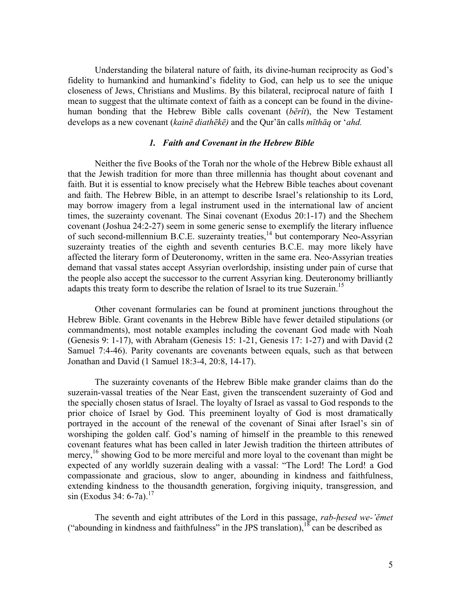Understanding the bilateral nature of faith, its divine-human reciprocity as God's fidelity to humankind and humankind's fidelity to God, can help us to see the unique closeness of Jews, Christians and Muslims. By this bilateral, reciprocal nature of faith I mean to suggest that the ultimate context of faith as a concept can be found in the divinehuman bonding that the Hebrew Bible calls covenant (*bĕrît*), the New Testament develops as a new covenant (*kainē diathēkē)* and the Qur'ān calls *mīthāq* or '*ahd.* 

## *1. Faith and Covenant in the Hebrew Bible*

Neither the five Books of the Torah nor the whole of the Hebrew Bible exhaust all that the Jewish tradition for more than three millennia has thought about covenant and faith. But it is essential to know precisely what the Hebrew Bible teaches about covenant and faith. The Hebrew Bible, in an attempt to describe Israel's relationship to its Lord, may borrow imagery from a legal instrument used in the international law of ancient times, the suzerainty covenant. The Sinai covenant (Exodus 20:1-17) and the Shechem covenant (Joshua 24:2-27) seem in some generic sense to exemplify the literary influence of such second-millennium B.C.E. suzerainty treaties,<sup>14</sup> but contemporary Neo-Assyrian suzerainty treaties of the eighth and seventh centuries B.C.E. may more likely have affected the literary form of Deuteronomy, written in the same era. Neo-Assyrian treaties demand that vassal states accept Assyrian overlordship, insisting under pain of curse that the people also accept the successor to the current Assyrian king. Deuteronomy brilliantly adapts this treaty form to describe the relation of Israel to its true Suzerain.<sup>15</sup>

Other covenant formularies can be found at prominent junctions throughout the Hebrew Bible. Grant covenants in the Hebrew Bible have fewer detailed stipulations (or commandments), most notable examples including the covenant God made with Noah (Genesis 9: 1-17), with Abraham (Genesis 15: 1-21, Genesis 17: 1-27) and with David (2 Samuel 7:4-46). Parity covenants are covenants between equals, such as that between Jonathan and David (1 Samuel 18:3-4, 20:8, 14-17).

The suzerainty covenants of the Hebrew Bible make grander claims than do the suzerain-vassal treaties of the Near East, given the transcendent suzerainty of God and the specially chosen status of Israel. The loyalty of Israel as vassal to God responds to the prior choice of Israel by God. This preeminent loyalty of God is most dramatically portrayed in the account of the renewal of the covenant of Sinai after Israel's sin of worshiping the golden calf. God's naming of himself in the preamble to this renewed covenant features what has been called in later Jewish tradition the thirteen attributes of mercy,<sup>16</sup> showing God to be more merciful and more loyal to the covenant than might be expected of any worldly suzerain dealing with a vassal: "The Lord! The Lord! a God compassionate and gracious, slow to anger, abounding in kindness and faithfulness, extending kindness to the thousandth generation, forgiving iniquity, transgression, and  $\sin$  (Exodus 34: 6-7a).<sup>17</sup>

The seventh and eight attributes of the Lord in this passage, *rab-hesed we-'ĕmet* ("abounding in kindness and faithfulness" in the JPS translation),  $18$  can be described as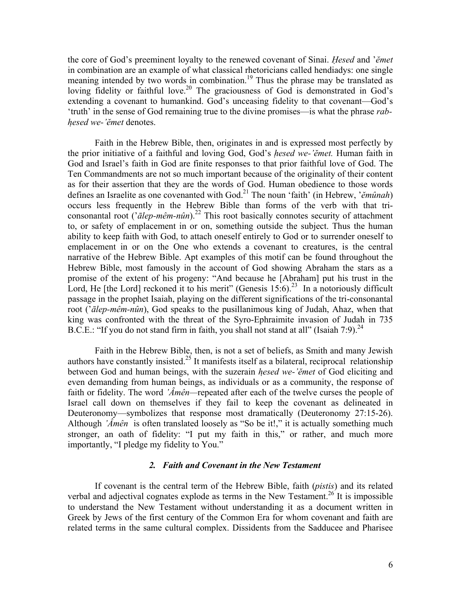the core of God's preeminent loyalty to the renewed covenant of Sinai. *Hesed* and '*ĕmet*  in combination are an example of what classical rhetoricians called hendiadys: one single meaning intended by two words in combination.<sup>19</sup> Thus the phrase may be translated as loving fidelity or faithful love.<sup>20</sup> The graciousness of God is demonstrated in God's extending a covenant to humankind. God's unceasing fidelity to that covenant—God's 'truth' in the sense of God remaining true to the divine promises—is what the phrase *rabhesed we-'ĕmet* denotes.

Faith in the Hebrew Bible, then, originates in and is expressed most perfectly by the prior initiative of a faithful and loving God, God's *hesed we-'ĕmet.* Human faith in God and Israel's faith in God are finite responses to that prior faithful love of God. The Ten Commandments are not so much important because of the originality of their content as for their assertion that they are the words of God. Human obedience to those words defines an Israelite as one covenanted with God.21 The noun 'faith' (in Hebrew, '*ĕmûnah*) occurs less frequently in the Hebrew Bible than forms of the verb with that triconsonantal root ('*ālep-mêm-nûn*).22 This root basically connotes security of attachment to, or safety of emplacement in or on, something outside the subject. Thus the human ability to keep faith with God, to attach oneself entirely to God or to surrender oneself to emplacement in or on the One who extends a covenant to creatures, is the central narrative of the Hebrew Bible. Apt examples of this motif can be found throughout the Hebrew Bible, most famously in the account of God showing Abraham the stars as a promise of the extent of his progeny: "And because he [Abraham] put his trust in the Lord, He [the Lord] reckoned it to his merit" (Genesis  $15:6$ )<sup>23</sup> In a notoriously difficult passage in the prophet Isaiah, playing on the different significations of the tri-consonantal root ('*ālep-mêm-nûn*), God speaks to the pusillanimous king of Judah, Ahaz, when that king was confronted with the threat of the Syro-Ephraimite invasion of Judah in 735 B.C.E.: "If you do not stand firm in faith, you shall not stand at all" (Isaiah 7:9).  $^{24}$ 

Faith in the Hebrew Bible, then, is not a set of beliefs, as Smith and many Jewish authors have constantly insisted.<sup>25</sup> It manifests itself as a bilateral, reciprocal relationship between God and human beings, with the suzerain *hesed we-'ĕmet* of God eliciting and even demanding from human beings, as individuals or as a community, the response of faith or fidelity. The word *'Âmên—*repeated after each of the twelve curses the people of Israel call down on themselves if they fail to keep the covenant as delineated in Deuteronomy—symbolizes that response most dramatically (Deuteronomy 27:15-26). Although *'Âmên* is often translated loosely as "So be it!," it is actually something much stronger, an oath of fidelity: "I put my faith in this," or rather, and much more importantly, "I pledge my fidelity to You."

## *2. Faith and Covenant in the New Testament*

If covenant is the central term of the Hebrew Bible, faith (*pistis*) and its related verbal and adjectival cognates explode as terms in the New Testament.<sup>26</sup> It is impossible to understand the New Testament without understanding it as a document written in Greek by Jews of the first century of the Common Era for whom covenant and faith are related terms in the same cultural complex. Dissidents from the Sadducee and Pharisee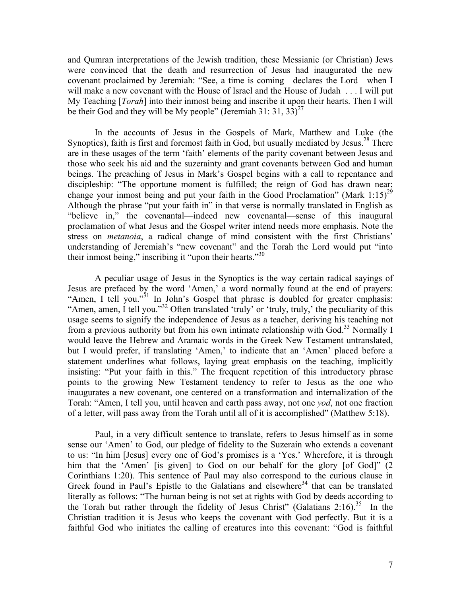and Qumran interpretations of the Jewish tradition, these Messianic (or Christian) Jews were convinced that the death and resurrection of Jesus had inaugurated the new covenant proclaimed by Jeremiah: "See, a time is coming—declares the Lord—when I will make a new covenant with the House of Israel and the House of Judah . . . I will put My Teaching [*Torah*] into their inmost being and inscribe it upon their hearts. Then I will be their God and they will be My people" (Jeremiah 31: 31, 33)<sup>27</sup>

In the accounts of Jesus in the Gospels of Mark, Matthew and Luke (the Synoptics), faith is first and foremost faith in God, but usually mediated by Jesus.<sup>28</sup> There are in these usages of the term 'faith' elements of the parity covenant between Jesus and those who seek his aid and the suzerainty and grant covenants between God and human beings. The preaching of Jesus in Mark's Gospel begins with a call to repentance and discipleship: "The opportune moment is fulfilled; the reign of God has drawn near; change your inmost being and put your faith in the Good Proclamation" (Mark 1:15)<sup>29</sup> Although the phrase "put your faith in" in that verse is normally translated in English as "believe in," the covenantal—indeed new covenantal—sense of this inaugural proclamation of what Jesus and the Gospel writer intend needs more emphasis. Note the stress on *metanoia*, a radical change of mind consistent with the first Christians' understanding of Jeremiah's "new covenant" and the Torah the Lord would put "into their inmost being," inscribing it "upon their hearts."<sup>30</sup>

A peculiar usage of Jesus in the Synoptics is the way certain radical sayings of Jesus are prefaced by the word 'Amen,' a word normally found at the end of prayers: "Amen, I tell you."<sup>31</sup> In John's Gospel that phrase is doubled for greater emphasis: "Amen, amen, I tell you."<sup>32</sup> Often translated 'truly' or 'truly, truly,' the peculiarity of this usage seems to signify the independence of Jesus as a teacher, deriving his teaching not from a previous authority but from his own intimate relationship with  $God.^33$  Normally I would leave the Hebrew and Aramaic words in the Greek New Testament untranslated, but I would prefer, if translating 'Amen,' to indicate that an 'Amen' placed before a statement underlines what follows, laying great emphasis on the teaching, implicitly insisting: "Put your faith in this." The frequent repetition of this introductory phrase points to the growing New Testament tendency to refer to Jesus as the one who inaugurates a new covenant, one centered on a transformation and internalization of the Torah: "Amen, I tell you, until heaven and earth pass away, not one *yod*, not one fraction of a letter, will pass away from the Torah until all of it is accomplished" (Matthew 5:18).

Paul, in a very difficult sentence to translate, refers to Jesus himself as in some sense our 'Amen' to God, our pledge of fidelity to the Suzerain who extends a covenant to us: "In him [Jesus] every one of God's promises is a 'Yes.' Wherefore, it is through him that the 'Amen' [is given] to God on our behalf for the glory [of God]" (2 Corinthians 1:20). This sentence of Paul may also correspond to the curious clause in Greek found in Paul's Epistle to the Galatians and elsewhere<sup>34</sup> that can be translated literally as follows: "The human being is not set at rights with God by deeds according to the Torah but rather through the fidelity of Jesus Christ" (Galatians 2:16).<sup>35</sup> In the Christian tradition it is Jesus who keeps the covenant with God perfectly. But it is a faithful God who initiates the calling of creatures into this covenant: "God is faithful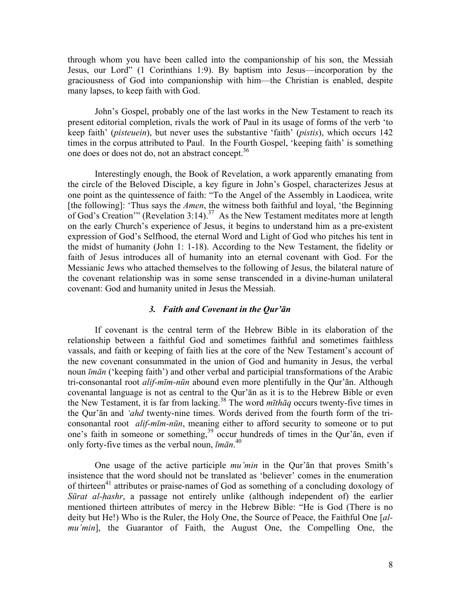through whom you have been called into the companionship of his son, the Messiah Jesus, our Lord" (1 Corinthians 1:9). By baptism into Jesus—incorporation by the graciousness of God into companionship with him—the Christian is enabled, despite many lapses, to keep faith with God.

John's Gospel, probably one of the last works in the New Testament to reach its present editorial completion, rivals the work of Paul in its usage of forms of the verb 'to keep faith' (*pisteuein*), but never uses the substantive 'faith' (*pistis*), which occurs 142 times in the corpus attributed to Paul. In the Fourth Gospel, 'keeping faith' is something one does or does not do, not an abstract concept.36

Interestingly enough, the Book of Revelation, a work apparently emanating from the circle of the Beloved Disciple, a key figure in John's Gospel, characterizes Jesus at one point as the quintessence of faith: "To the Angel of the Assembly in Laodicea, write [the following]: 'Thus says the *Amen*, the witness both faithful and loyal, 'the Beginning of God's Creation'" (Revelation 3:14).<sup>37</sup> As the New Testament meditates more at length on the early Church's experience of Jesus, it begins to understand him as a pre-existent expression of God's Selfhood, the eternal Word and Light of God who pitches his tent in the midst of humanity (John 1: 1-18). According to the New Testament, the fidelity or faith of Jesus introduces all of humanity into an eternal covenant with God. For the Messianic Jews who attached themselves to the following of Jesus, the bilateral nature of the covenant relationship was in some sense transcended in a divine-human unilateral covenant: God and humanity united in Jesus the Messiah.

#### *3. Faith and Covenant in the Qur'ān*

If covenant is the central term of the Hebrew Bible in its elaboration of the relationship between a faithful God and sometimes faithful and sometimes faithless vassals, and faith or keeping of faith lies at the core of the New Testament's account of the new covenant consummated in the union of God and humanity in Jesus, the verbal noun *īmān* ('keeping faith') and other verbal and participial transformations of the Arabic tri-consonantal root *alif-mīm-nūn* abound even more plentifully in the Qur'ān. Although covenantal language is not as central to the Qur'ān as it is to the Hebrew Bible or even the New Testament, it is far from lacking.38 The word *mīthāq* occurs twenty-five times in the Qur'ān and *'ahd* twenty-nine times. Words derived from the fourth form of the triconsonantal root *alif-mīm-nūn*, meaning either to afford security to someone or to put one's faith in someone or something,<sup>39</sup> occur hundreds of times in the Qur'an, even if only forty-five times as the verbal noun, *īmān*. 40

One usage of the active participle *mu'min* in the Qur'ān that proves Smith's insistence that the word should not be translated as 'believer' comes in the enumeration of thirteen<sup>41</sup> attributes or praise-names of God as something of a concluding doxology of *Sūrat al-hashr*, a passage not entirely unlike (although independent of) the earlier mentioned thirteen attributes of mercy in the Hebrew Bible: "He is God (There is no deity but He!) Who is the Ruler, the Holy One, the Source of Peace, the Faithful One [*almu'min*], the Guarantor of Faith, the August One, the Compelling One, the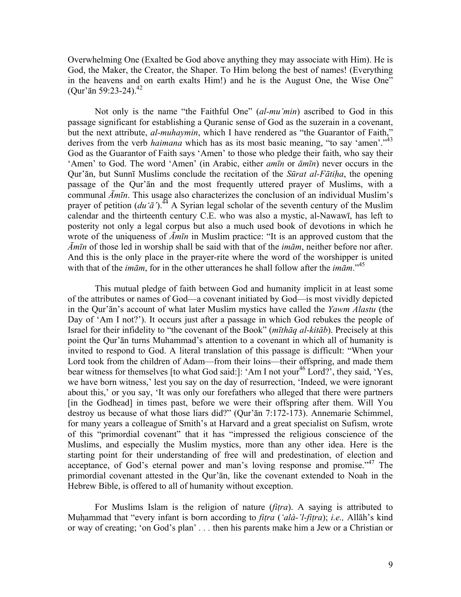Overwhelming One (Exalted be God above anything they may associate with Him). He is God, the Maker, the Creator, the Shaper. To Him belong the best of names! (Everything in the heavens and on earth exalts Him!) and he is the August One, the Wise One" (Qur'ān 59:23-24).<sup>42</sup>

Not only is the name "the Faithful One" (*al-mu'min*) ascribed to God in this passage significant for establishing a Quranic sense of God as the suzerain in a covenant, but the next attribute, *al-muhaymin*, which I have rendered as "the Guarantor of Faith," derives from the verb *haimana* which has as its most basic meaning, "to say 'amen'."<sup>43</sup> God as the Guarantor of Faith says 'Amen' to those who pledge their faith, who say their 'Amen' to God. The word 'Amen' (in Arabic, either *amīn* or *āmīn*) never occurs in the Qur'ān, but Sunnī Muslims conclude the recitation of the *Sūrat al-Fātiha*, the opening passage of the Qur'ān and the most frequently uttered prayer of Muslims, with a communal *Āmīn*. This usage also characterizes the conclusion of an individual Muslim's prayer of petition  $(du'$ <sup> $\tilde{a}$ </sup>).<sup>44</sup> A Syrian legal scholar of the seventh century of the Muslim calendar and the thirteenth century C.E. who was also a mystic, al-Nawawī, has left to posterity not only a legal corpus but also a much used book of devotions in which he wrote of the uniqueness of *Āmīn* in Muslim practice: "It is an approved custom that the *Āmīn* of those led in worship shall be said with that of the *imām*, neither before nor after. And this is the only place in the prayer-rite where the word of the worshipper is united with that of the *imām*, for in the other utterances he shall follow after the *imām*."45

This mutual pledge of faith between God and humanity implicit in at least some of the attributes or names of God—a covenant initiated by God—is most vividly depicted in the Qur'ān's account of what later Muslim mystics have called the *Yawm Alastu* (the Day of 'Am I not?'). It occurs just after a passage in which God rebukes the people of Israel for their infidelity to "the covenant of the Book" (*mīthāq al-kitāb*). Precisely at this point the Qur'ān turns Muhammad's attention to a covenant in which all of humanity is invited to respond to God. A literal translation of this passage is difficult: "When your Lord took from the children of Adam—from their loins—their offspring, and made them bear witness for themselves [to what God said:]: 'Am I not your<sup>46</sup> Lord?', they said, 'Yes, we have born witness,' lest you say on the day of resurrection, 'Indeed, we were ignorant about this,' or you say, 'It was only our forefathers who alleged that there were partners [in the Godhead] in times past, before we were their offspring after them. Will You destroy us because of what those liars did?" (Qur'ān 7:172-173). Annemarie Schimmel, for many years a colleague of Smith's at Harvard and a great specialist on Sufism, wrote of this "primordial covenant" that it has "impressed the religious conscience of the Muslims, and especially the Muslim mystics, more than any other idea. Here is the starting point for their understanding of free will and predestination, of election and acceptance, of God's eternal power and man's loving response and promise."<sup>47</sup> The primordial covenant attested in the Qur'ān, like the covenant extended to Noah in the Hebrew Bible, is offered to all of humanity without exception.

For Muslims Islam is the religion of nature (*fitra*). A saying is attributed to Muhammad that "every infant is born according to *fitra* (*'alà-'l-fitra*); *i.e.,* Allāh's kind or way of creating; 'on God's plan' *. . .* then his parents make him a Jew or a Christian or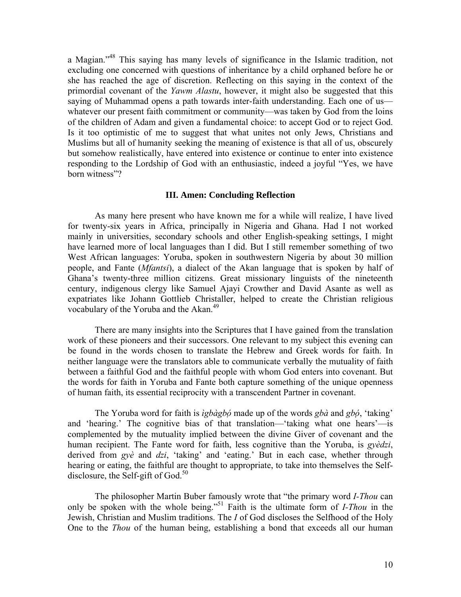a Magian."48 This saying has many levels of significance in the Islamic tradition, not excluding one concerned with questions of inheritance by a child orphaned before he or she has reached the age of discretion. Reflecting on this saying in the context of the primordial covenant of the *Yawm Alastu*, however, it might also be suggested that this saying of Muhammad opens a path towards inter-faith understanding. Each one of us whatever our present faith commitment or community—was taken by God from the loins of the children of Adam and given a fundamental choice: to accept God or to reject God. Is it too optimistic of me to suggest that what unites not only Jews, Christians and Muslims but all of humanity seeking the meaning of existence is that all of us, obscurely but somehow realistically, have entered into existence or continue to enter into existence responding to the Lordship of God with an enthusiastic, indeed a joyful "Yes, we have born witness"?

## **III. Amen: Concluding Reflection**

 As many here present who have known me for a while will realize, I have lived for twenty-six years in Africa, principally in Nigeria and Ghana. Had I not worked mainly in universities, secondary schools and other English-speaking settings, I might have learned more of local languages than I did. But I still remember something of two West African languages: Yoruba, spoken in southwestern Nigeria by about 30 million people, and Fante (*Mfantsi*), a dialect of the Akan language that is spoken by half of Ghana's twenty-three million citizens. Great missionary linguists of the nineteenth century, indigenous clergy like Samuel Ajayi Crowther and David Asante as well as expatriates like Johann Gottlieb Christaller, helped to create the Christian religious vocabulary of the Yoruba and the Akan.<sup>49</sup>

 There are many insights into the Scriptures that I have gained from the translation work of these pioneers and their successors. One relevant to my subject this evening can be found in the words chosen to translate the Hebrew and Greek words for faith. In neither language were the translators able to communicate verbally the mutuality of faith between a faithful God and the faithful people with whom God enters into covenant. But the words for faith in Yoruba and Fante both capture something of the unique openness of human faith, its essential reciprocity with a transcendent Partner in covenant.

 The Yoruba word for faith is *ìgbàgbó* made up of the words *gbà* and *gbó*, 'taking' and 'hearing.' The cognitive bias of that translation—'taking what one hears'—is complemented by the mutuality implied between the divine Giver of covenant and the human recipient. The Fante word for faith, less cognitive than the Yoruba, is *gyèdzi*, derived from *gyè* and *dzi*, 'taking' and 'eating.' But in each case, whether through hearing or eating, the faithful are thought to appropriate, to take into themselves the Selfdisclosure, the Self-gift of God. $50$ 

The philosopher Martin Buber famously wrote that "the primary word *I-Thou* can only be spoken with the whole being."51 Faith is the ultimate form of *I-Thou* in the Jewish, Christian and Muslim traditions. The *I* of God discloses the Selfhood of the Holy One to the *Thou* of the human being, establishing a bond that exceeds all our human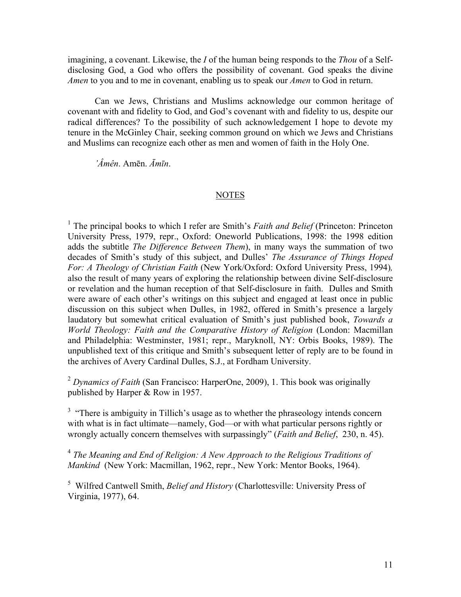imagining, a covenant. Likewise, the *I* of the human being responds to the *Thou* of a Selfdisclosing God, a God who offers the possibility of covenant. God speaks the divine *Amen* to you and to me in covenant, enabling us to speak our *Amen* to God in return.

Can we Jews, Christians and Muslims acknowledge our common heritage of covenant with and fidelity to God, and God's covenant with and fidelity to us, despite our radical differences? To the possibility of such acknowledgement I hope to devote my tenure in the McGinley Chair, seeking common ground on which we Jews and Christians and Muslims can recognize each other as men and women of faith in the Holy One.

*'Âmên*. Amēn. *Āmīn*.

#### **NOTES**

<sup>1</sup> The principal books to which I refer are Smith's *Faith and Belief* (Princeton: Princeton University Press, 1979, repr., Oxford: Oneworld Publications, 1998: the 1998 edition adds the subtitle *The Difference Between Them*), in many ways the summation of two decades of Smith's study of this subject, and Dulles' *The Assurance of Things Hoped For: A Theology of Christian Faith* (New York/Oxford: Oxford University Press, 1994)*,* also the result of many years of exploring the relationship between divine Self-disclosure or revelation and the human reception of that Self-disclosure in faith.Dulles and Smith were aware of each other's writings on this subject and engaged at least once in public discussion on this subject when Dulles, in 1982, offered in Smith's presence a largely laudatory but somewhat critical evaluation of Smith's just published book, *Towards a World Theology: Faith and the Comparative History of Religion* (London: Macmillan and Philadelphia: Westminster, 1981; repr., Maryknoll, NY: Orbis Books, 1989). The unpublished text of this critique and Smith's subsequent letter of reply are to be found in the archives of Avery Cardinal Dulles, S.J., at Fordham University.

<sup>2</sup> Dynamics of Faith (San Francisco: HarperOne, 2009), 1. This book was originally published by Harper & Row in 1957.

 $3$  "There is ambiguity in Tillich's usage as to whether the phraseology intends concern with what is in fact ultimate—namely, God—or with what particular persons rightly or wrongly actually concern themselves with surpassingly" (*Faith and Belief*, 230, n. 45).

<sup>4</sup> *The Meaning and End of Religion: A New Approach to the Religious Traditions of Mankind* (New York: Macmillan, 1962, repr., New York: Mentor Books, 1964).

5 Wilfred Cantwell Smith, *Belief and History* (Charlottesville: University Press of Virginia, 1977), 64.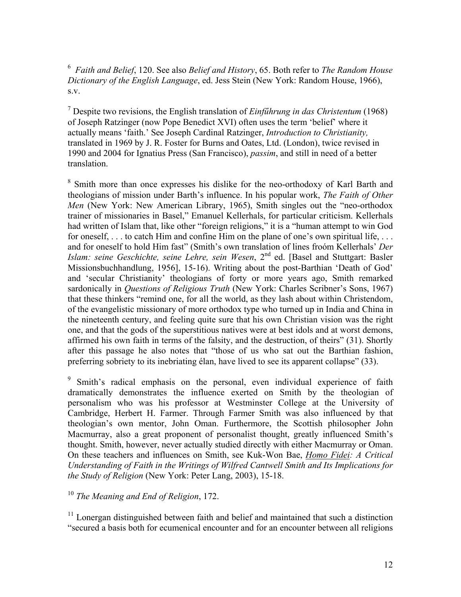6 *Faith and Belief*, 120. See also *Belief and History*, 65. Both refer to *The Random House Dictionary of the English Language*, ed. Jess Stein (New York: Random House, 1966), s.v.

7 Despite two revisions, the English translation of *Einfűhrung in das Christentum* (1968) of Joseph Ratzinger (now Pope Benedict XVI) often uses the term 'belief' where it actually means 'faith.' See Joseph Cardinal Ratzinger, *Introduction to Christianity,* translated in 1969 by J. R. Foster for Burns and Oates, Ltd. (London), twice revised in 1990 and 2004 for Ignatius Press (San Francisco), *passim*, and still in need of a better translation.

<sup>8</sup> Smith more than once expresses his dislike for the neo-orthodoxy of Karl Barth and theologians of mission under Barth's influence. In his popular work, *The Faith of Other Men* (New York: New American Library, 1965), Smith singles out the "neo-orthodox" trainer of missionaries in Basel," Emanuel Kellerhals, for particular criticism. Kellerhals had written of Islam that, like other "foreign religions," it is a "human attempt to win God for oneself, ... to catch Him and confine Him on the plane of one's own spiritual life, ... and for oneself to hold Him fast" (Smith's own translation of lines froóm Kellerhals' *Der Islam: seine Geschichte, seine Lehre, sein Wesen*, 2<sup>nd</sup> ed. [Basel and Stuttgart: Basler Missionsbuchhandlung, 1956], 15-16). Writing about the post-Barthian 'Death of God' and 'secular Christianity' theologians of forty or more years ago, Smith remarked sardonically in *Questions of Religious Truth* (New York: Charles Scribner's Sons, 1967) that these thinkers "remind one, for all the world, as they lash about within Christendom, of the evangelistic missionary of more orthodox type who turned up in India and China in the nineteenth century, and feeling quite sure that his own Christian vision was the right one, and that the gods of the superstitious natives were at best idols and at worst demons, affirmed his own faith in terms of the falsity, and the destruction, of theirs" (31). Shortly after this passage he also notes that "those of us who sat out the Barthian fashion, preferring sobriety to its inebriating élan, have lived to see its apparent collapse" (33).

9 Smith's radical emphasis on the personal, even individual experience of faith dramatically demonstrates the influence exerted on Smith by the theologian of personalism who was his professor at Westminster College at the University of Cambridge, Herbert H. Farmer. Through Farmer Smith was also influenced by that theologian's own mentor, John Oman. Furthermore, the Scottish philosopher John Macmurray, also a great proponent of personalist thought, greatly influenced Smith's thought. Smith, however, never actually studied directly with either Macmurray or Oman. On these teachers and influences on Smith, see Kuk-Won Bae, *Homo Fidei: A Critical Understanding of Faith in the Writings of Wilfred Cantwell Smith and Its Implications for the Study of Religion* (New York: Peter Lang, 2003), 15-18.

<sup>10</sup> *The Meaning and End of Religion*, 172.

<sup>11</sup> Lonergan distinguished between faith and belief and maintained that such a distinction "secured a basis both for ecumenical encounter and for an encounter between all religions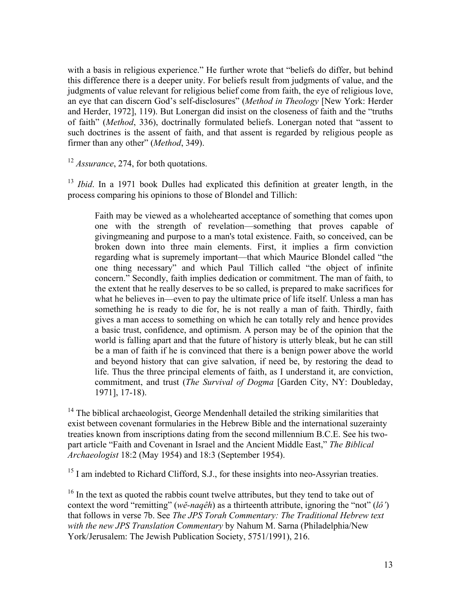with a basis in religious experience." He further wrote that "beliefs do differ, but behind this difference there is a deeper unity. For beliefs result from judgments of value, and the judgments of value relevant for religious belief come from faith, the eye of religious love, an eye that can discern God's self-disclosures" (*Method in Theology* [New York: Herder and Herder, 1972], 119). But Lonergan did insist on the closeness of faith and the "truths of faith" (*Method*, 336), doctrinally formulated beliefs. Lonergan noted that "assent to such doctrines is the assent of faith, and that assent is regarded by religious people as firmer than any other" (*Method*, 349).

<sup>12</sup> *Assurance*, 274, for both quotations.

<sup>13</sup> *Ibid*. In a 1971 book Dulles had explicated this definition at greater length, in the process comparing his opinions to those of Blondel and Tillich:

Faith may be viewed as a wholehearted acceptance of something that comes upon one with the strength of revelation—something that proves capable of givingmeaning and purpose to a man's total existence. Faith, so conceived, can be broken down into three main elements. First, it implies a firm conviction regarding what is supremely important—that which Maurice Blondel called "the one thing necessary" and which Paul Tillich called "the object of infinite concern." Secondly, faith implies dedication or commitment. The man of faith, to the extent that he really deserves to be so called, is prepared to make sacrifices for what he believes in—even to pay the ultimate price of life itself. Unless a man has something he is ready to die for, he is not really a man of faith. Thirdly, faith gives a man access to something on which he can totally rely and hence provides a basic trust, confidence, and optimism. A person may be of the opinion that the world is falling apart and that the future of history is utterly bleak, but he can still be a man of faith if he is convinced that there is a benign power above the world and beyond history that can give salvation, if need be, by restoring the dead to life. Thus the three principal elements of faith, as I understand it, are conviction, commitment, and trust (*The Survival of Dogma* [Garden City, NY: Doubleday, 1971], 17-18).

 $14$  The biblical archaeologist, George Mendenhall detailed the striking similarities that exist between covenant formularies in the Hebrew Bible and the international suzerainty treaties known from inscriptions dating from the second millennium B.C.E. See his twopart article "Faith and Covenant in Israel and the Ancient Middle East," *The Biblical Archaeologist* 18:2 (May 1954) and 18:3 (September 1954).

<sup>15</sup> I am indebted to Richard Clifford, S.J., for these insights into neo-Assyrian treaties.

 $16$  In the text as quoted the rabbis count twelve attributes, but they tend to take out of context the word "remitting" (*wĕ-naqêh*) as a thirteenth attribute, ignoring the "not" (*lô'*) that follows in verse 7b. See *The JPS Torah Commentary: The Traditional Hebrew text with the new JPS Translation Commentary* by Nahum M. Sarna (Philadelphia/New York/Jerusalem: The Jewish Publication Society, 5751/1991), 216.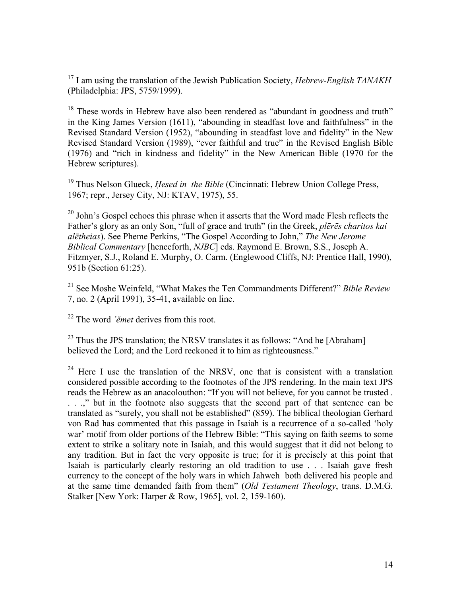17 I am using the translation of the Jewish Publication Society, *Hebrew-English TANAKH*  (Philadelphia: JPS, 5759/1999).

<sup>18</sup> These words in Hebrew have also been rendered as "abundant in goodness and truth" in the King James Version (1611), "abounding in steadfast love and faithfulness" in the Revised Standard Version (1952), "abounding in steadfast love and fidelity" in the New Revised Standard Version (1989), "ever faithful and true" in the Revised English Bible (1976) and "rich in kindness and fidelity" in the New American Bible (1970 for the Hebrew scriptures).

<sup>19</sup> Thus Nelson Glueck, *Hesed in the Bible* (Cincinnati: Hebrew Union College Press, 1967; repr., Jersey City, NJ: KTAV, 1975), 55.

<sup>20</sup> John's Gospel echoes this phrase when it asserts that the Word made Flesh reflects the Father's glory as an only Son, "full of grace and truth" (in the Greek, *plērēs charitos kai alētheias*). See Pheme Perkins, "The Gospel According to John," *The New Jerome Biblical Commentary* [henceforth, *NJBC*] eds. Raymond E. Brown, S.S., Joseph A. Fitzmyer, S.J., Roland E. Murphy, O. Carm. (Englewood Cliffs, NJ: Prentice Hall, 1990), 951b (Section 61:25).

21 See Moshe Weinfeld, "What Makes the Ten Commandments Different?" *Bible Review*  7, no. 2 (April 1991), 35-41, available on line.

22 The word *'ĕmet* derives from this root.

 $23$  Thus the JPS translation; the NRSV translates it as follows: "And he [Abraham] believed the Lord; and the Lord reckoned it to him as righteousness."

 $24$  Here I use the translation of the NRSV, one that is consistent with a translation considered possible according to the footnotes of the JPS rendering. In the main text JPS reads the Hebrew as an anacolouthon: "If you will not believe, for you cannot be trusted . . . .," but in the footnote also suggests that the second part of that sentence can be translated as "surely, you shall not be established" (859). The biblical theologian Gerhard von Rad has commented that this passage in Isaiah is a recurrence of a so-called 'holy war' motif from older portions of the Hebrew Bible: "This saying on faith seems to some extent to strike a solitary note in Isaiah, and this would suggest that it did not belong to any tradition. But in fact the very opposite is true; for it is precisely at this point that Isaiah is particularly clearly restoring an old tradition to use . . . Isaiah gave fresh currency to the concept of the holy wars in which Jahweh both delivered his people and at the same time demanded faith from them" (*Old Testament Theology*, trans. D.M.G. Stalker [New York: Harper & Row, 1965], vol. 2, 159-160).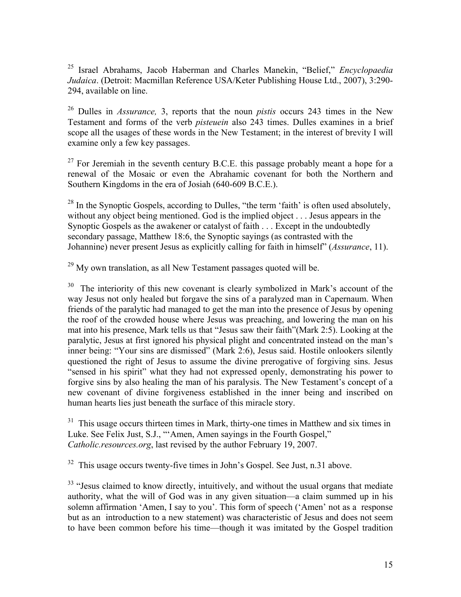25 Israel Abrahams, Jacob Haberman and Charles Manekin, "Belief," *Encyclopaedia Judaica*. (Detroit: Macmillan Reference USA/Keter Publishing House Ltd., 2007), 3:290- 294, available on line.

26 Dulles in *Assurance,* 3, reports that the noun *pistis* occurs 243 times in the New Testament and forms of the verb *pisteuein* also 243 times. Dulles examines in a brief scope all the usages of these words in the New Testament; in the interest of brevity I will examine only a few key passages.

 $27$  For Jeremiah in the seventh century B.C.E. this passage probably meant a hope for a renewal of the Mosaic or even the Abrahamic covenant for both the Northern and Southern Kingdoms in the era of Josiah (640-609 B.C.E.).

 $^{28}$  In the Synoptic Gospels, according to Dulles, "the term 'faith' is often used absolutely, without any object being mentioned. God is the implied object . . . Jesus appears in the Synoptic Gospels as the awakener or catalyst of faith . . . Except in the undoubtedly secondary passage, Matthew 18:6, the Synoptic sayings (as contrasted with the Johannine) never present Jesus as explicitly calling for faith in himself" (*Assurance*, 11).

 $29$  My own translation, as all New Testament passages quoted will be.

<sup>30</sup> The interiority of this new covenant is clearly symbolized in Mark's account of the way Jesus not only healed but forgave the sins of a paralyzed man in Capernaum. When friends of the paralytic had managed to get the man into the presence of Jesus by opening the roof of the crowded house where Jesus was preaching, and lowering the man on his mat into his presence, Mark tells us that "Jesus saw their faith"(Mark 2:5). Looking at the paralytic, Jesus at first ignored his physical plight and concentrated instead on the man's inner being: "Your sins are dismissed" (Mark 2:6), Jesus said. Hostile onlookers silently questioned the right of Jesus to assume the divine prerogative of forgiving sins. Jesus "sensed in his spirit" what they had not expressed openly, demonstrating his power to forgive sins by also healing the man of his paralysis. The New Testament's concept of a new covenant of divine forgiveness established in the inner being and inscribed on human hearts lies just beneath the surface of this miracle story.

 $31$  This usage occurs thirteen times in Mark, thirty-one times in Matthew and six times in Luke. See Felix Just, S.J., "'Amen, Amen sayings in the Fourth Gospel," *Catholic.resources.org*, last revised by the author February 19, 2007.

 $32$  This usage occurs twenty-five times in John's Gospel. See Just, n.31 above.

 $33$  "Jesus claimed to know directly, intuitively, and without the usual organs that mediate authority, what the will of God was in any given situation—a claim summed up in his solemn affirmation 'Amen, I say to you'. This form of speech ('Amen' not as a response but as an introduction to a new statement) was characteristic of Jesus and does not seem to have been common before his time—though it was imitated by the Gospel tradition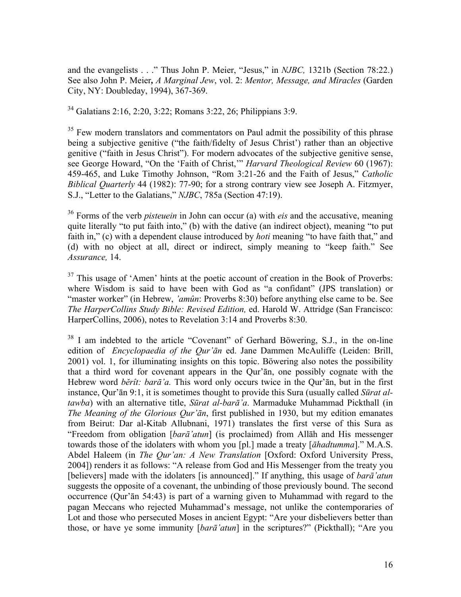and the evangelists . . ." Thus John P. Meier, "Jesus," in *NJBC,* 1321b (Section 78:22.) See also John P. Meier*, A Marginal Jew*, vol. 2: *Mentor, Message, and Miracles* (Garden City, NY: Doubleday, 1994), 367-369.

34 Galatians 2:16, 2:20, 3:22; Romans 3:22, 26; Philippians 3:9.

 $35$  Few modern translators and commentators on Paul admit the possibility of this phrase being a subjective genitive ("the faith/fidelty of Jesus Christ') rather than an objective genitive ("faith in Jesus Christ"). For modern advocates of the subjective genitive sense, see George Howard, "On the 'Faith of Christ,'" *Harvard Theological Review* 60 (1967): 459-465, and Luke Timothy Johnson, "Rom 3:21-26 and the Faith of Jesus," *Catholic Biblical Quarterly* 44 (1982): 77-90; for a strong contrary view see Joseph A. Fitzmyer, S.J., "Letter to the Galatians," *NJBC*, 785a (Section 47:19).

36 Forms of the verb *pisteuein* in John can occur (a) with *eis* and the accusative, meaning quite literally "to put faith into," (b) with the dative (an indirect object), meaning "to put faith in," (c) with a dependent clause introduced by *hoti* meaning "to have faith that," and (d) with no object at all, direct or indirect, simply meaning to "keep faith." See *Assurance,* 14.

 $37$  This usage of 'Amen' hints at the poetic account of creation in the Book of Proverbs: where Wisdom is said to have been with God as "a confidant" (JPS translation) or "master worker" (in Hebrew, *'amûn*: Proverbs 8:30) before anything else came to be. See *The HarperCollins Study Bible: Revised Edition,* ed. Harold W. Attridge (San Francisco: HarperCollins, 2006), notes to Revelation 3:14 and Proverbs 8:30.

<sup>38</sup> I am indebted to the article "Covenant" of Gerhard Böwering, S.J., in the on-line edition of *Encyclopaedia of the Qur'ān* ed. Jane Dammen McAuliffe (Leiden: Brill, 2001) vol. 1, for illuminating insights on this topic. Böwering also notes the possibility that a third word for covenant appears in the Qur'ān, one possibly cognate with the Hebrew word *bĕrît: barā'a.* This word only occurs twice in the Qur'ān, but in the first instance, Qur'ān 9:1, it is sometimes thought to provide this Sura (usually called *Sūrat altawba*) with an alternative title, *Sūrat al-barā'a*. Marmaduke Muhammad Pickthall (in *The Meaning of the Glorious Qur'ān*, first published in 1930, but my edition emanates from Beirut: Dar al-Kitab Allubnani, 1971) translates the first verse of this Sura as "Freedom from obligation [*barā'atun*] (is proclaimed) from Allāh and His messenger towards those of the idolaters with whom you [pl.] made a treaty [*āhadtumma*]." M.A.S. Abdel Haleem (in *The Qur'an: A New Translation* [Oxford: Oxford University Press, 2004]) renders it as follows: "A release from God and His Messenger from the treaty you [believers] made with the idolaters [is announced]." If anything, this usage of *barā'atun* suggests the opposite of a covenant, the unbinding of those previously bound. The second occurrence (Qur'ān 54:43) is part of a warning given to Muhammad with regard to the pagan Meccans who rejected Muhammad's message, not unlike the contemporaries of Lot and those who persecuted Moses in ancient Egypt: "Are your disbelievers better than those, or have ye some immunity [*barā'atun*] in the scriptures?" (Pickthall); "Are you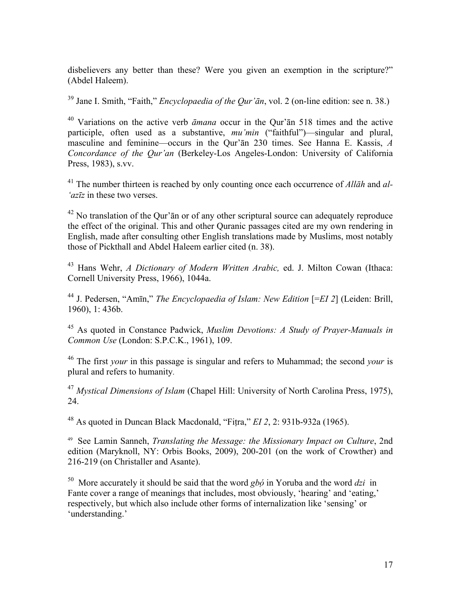disbelievers any better than these? Were you given an exemption in the scripture?" (Abdel Haleem).

39 Jane I. Smith, "Faith," *Encyclopaedia of the Qur'ān*, vol. 2 (on-line edition: see n. 38.)

40 Variations on the active verb *āmana* occur in the Qur'ān 518 times and the active participle, often used as a substantive, *mu'min* ("faithful")—singular and plural, masculine and feminine—occurs in the Qur'ān 230 times. See Hanna E. Kassis, *A Concordance of the Qur'an* (Berkeley-Los Angeles-London: University of California Press, 1983), s.vv.

41 The number thirteen is reached by only counting once each occurrence of *Allāh* and *al- 'azīz* in these two verses.

 $42$  No translation of the Qur' $\bar{a}$ n or of any other scriptural source can adequately reproduce the effect of the original. This and other Quranic passages cited are my own rendering in English, made after consulting other English translations made by Muslims, most notably those of Pickthall and Abdel Haleem earlier cited (n. 38).

43 Hans Wehr, *A Dictionary of Modern Written Arabic,* ed. J. Milton Cowan (Ithaca: Cornell University Press, 1966), 1044a.

<sup>44</sup> J. Pedersen, "Amīn," *The Encyclopaedia of Islam: New Edition* [=*EI 2*] (Leiden: Brill, 1960), 1: 436b.

45 As quoted in Constance Padwick, *Muslim Devotions: A Study of Prayer-Manuals in Common Use* (London: S.P.C.K., 1961), 109.

46 The first *your* in this passage is singular and refers to Muhammad; the second *your* is plural and refers to humanity.

<sup>47</sup> *Mystical Dimensions of Islam* (Chapel Hill: University of North Carolina Press, 1975), 24.

48 As quoted in Duncan Black Macdonald, "Fitra," *EI 2*, 2: 931b-932a (1965).

49 See Lamin Sanneh, *Translating the Message: the Missionary Impact on Culture*, 2nd edition (Maryknoll, NY: Orbis Books, 2009), 200-201 (on the work of Crowther) and 216-219 (on Christaller and Asante).

50 More accurately it should be said that the word *gbó* in Yoruba and the word *dzi* in Fante cover a range of meanings that includes, most obviously, 'hearing' and 'eating,' respectively, but which also include other forms of internalization like 'sensing' or 'understanding.'